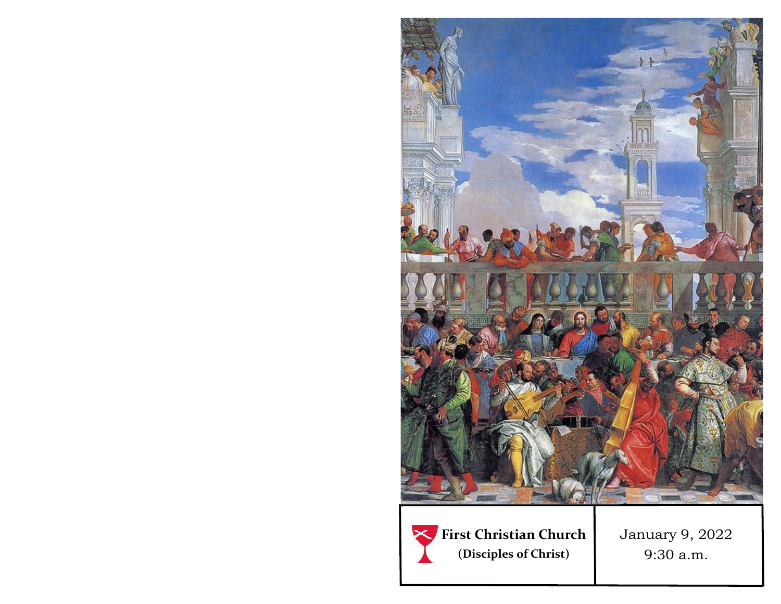

**First Christian Church (Disciples of Christ)**

January 9, 2022 9:30 a.m.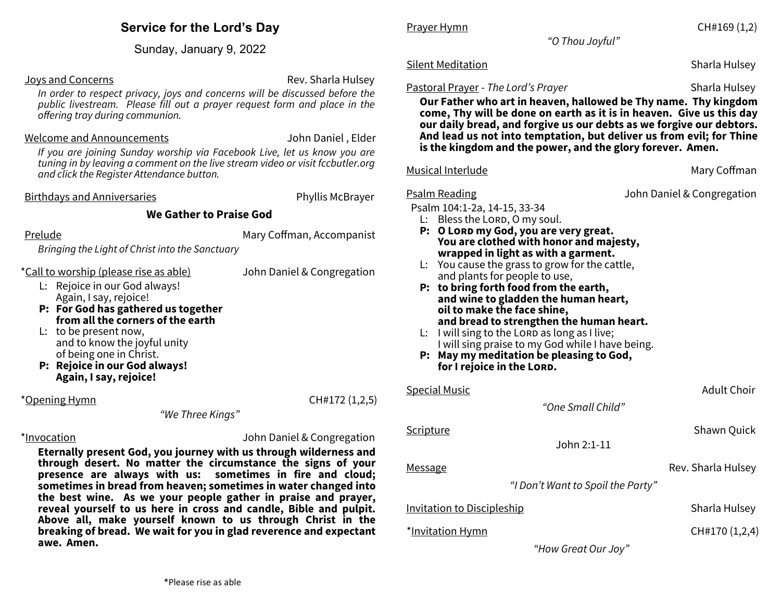| <b>Service for the Lord's Day</b> |  |  |  |
|-----------------------------------|--|--|--|
|-----------------------------------|--|--|--|

Sunday, January 9, 2022

**Joys and Concerns Rev. Sharla Hulsey** Rev. Sharla Hulsey

*In order to respect privacy, joys and concerns will be discussed before the public livestream. Please fill out a prayer request form and place in the offering tray during communion.* 

#### Welcome and Announcements John Daniel , Elder

*If you are joining Sunday worship via Facebook Live, let us know you are tuning in by leaving a comment on the live stream video or visit fccbutler.org and click the Register Attendance button.*

Birthdays and Anniversaries **Phyllis McBrayer** Phyllis McBrayer

### **We Gather to Praise God**

Prelude **Mary Coffman, Accompanist** 

*Bringing the Light of Christ into the Sanctuary*

\*Call to worship (please rise as able) John Daniel & Congregation

L: Rejoice in our God always! Again, I say, rejoice!

- **P: For God has gathered us together from all the corners of the earth**
- L: to be present now, and to know the joyful unity of being one in Christ.
- **P: Rejoice in our God always! Again, I say, rejoice!**

\*Opening Hymn CH#172 (1,2,5)

*"We Three Kings"*

\*Invocation John Daniel & Congregation

**Eternally present God, you journey with us through wilderness and through desert. No matter the circumstance the signs of your presence are always with us: sometimes in fire and cloud; sometimes in bread from heaven; sometimes in water changed into the best wine. As we your people gather in praise and prayer, reveal yourself to us here in cross and candle, Bible and pulpit. Above all, make yourself known to us through Christ in the breaking of bread. We wait for you in glad reverence and expectant awe. Amen.**

Prayer Hymn **CH#169** (1,2)

*"O Thou Joyful"*

### Silent Meditation Nation Sharla Hulsey Sharla Hulsey

#### Pastoral Prayer - *The Lord's Prayer* Sharla Hulsey

**Our Father who art in heaven, hallowed be Thy name. Thy kingdom come, Thy will be done on earth as it is in heaven. Give us this day our daily bread, and forgive us our debts as we forgive our debtors. And lead us not into temptation, but deliver us from evil; for Thine is the kingdom and the power, and the glory forever. Amen.**

#### Musical Interlude **Mary Coffman**

Psalm Reading John Daniel & Congregation

Psalm 104:1-2a, 14-15, 33-34

- $L:$  Bless the LORD, O my soul.
- **P: O Lord my God, you are very great. You are clothed with honor and majesty, wrapped in light as with a garment.**
- L: You cause the grass to grow for the cattle, and plants for people to use,
- **P: to bring forth food from the earth, and wine to gladden the human heart, oil to make the face shine, and bread to strengthen the human heart.**
- $L:$  I will sing to the LORD as long as I live; I will sing praise to my God while I have being.
- **P: May my meditation be pleasing to God, for I rejoice in the Lord.**

| <b>Special Music</b>              | Adult Choir        |
|-----------------------------------|--------------------|
| "One Small Child"                 |                    |
| <u>Scripture</u>                  | Shawn Quick        |
| John 2:1-11                       |                    |
| <b>Message</b>                    | Rev. Sharla Hulsey |
| "I Don't Want to Spoil the Party" |                    |
| <b>Invitation to Discipleship</b> | Sharla Hulsey      |
| *Invitation Hymn                  | CH#170 (1,2,4)     |

*"How Great Our Joy"*